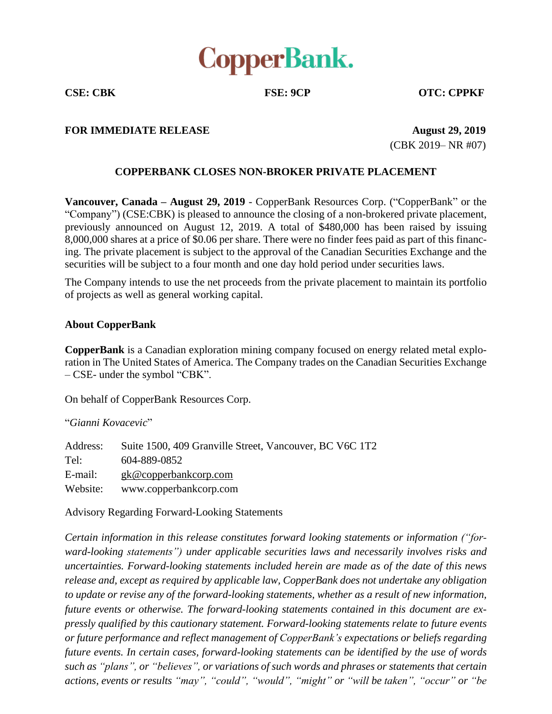

**CSE: CBK FSE: 9CP OTC: CPPKF**

## **FOR IMMEDIATE RELEASE August 29, 2019**

(CBK 2019– NR #07)

## **COPPERBANK CLOSES NON-BROKER PRIVATE PLACEMENT**

**Vancouver, Canada – August 29, 2019** - CopperBank Resources Corp. ("CopperBank" or the "Company") (CSE:CBK) is pleased to announce the closing of a non-brokered private placement, previously announced on August 12, 2019. A total of \$480,000 has been raised by issuing 8,000,000 shares at a price of \$0.06 per share. There were no finder fees paid as part of this financing. The private placement is subject to the approval of the Canadian Securities Exchange and the securities will be subject to a four month and one day hold period under securities laws.

The Company intends to use the net proceeds from the private placement to maintain its portfolio of projects as well as general working capital.

## **About CopperBank**

**CopperBank** is a Canadian exploration mining company focused on energy related metal exploration in The United States of America. The Company trades on the Canadian Securities Exchange – CSE- under the symbol "CBK".

On behalf of CopperBank Resources Corp.

"*Gianni Kovacevic*"

Address: Suite 1500, 409 Granville Street, Vancouver, BC V6C 1T2 Tel: 604-889-0852 E-mail: gk@copperbankcorp.com Website: www.copperbankcorp.com

Advisory Regarding Forward-Looking Statements

*Certain information in this release constitutes forward looking statements or information ("forward-looking statements") under applicable securities laws and necessarily involves risks and uncertainties. Forward-looking statements included herein are made as of the date of this news release and, except as required by applicable law, CopperBank does not undertake any obligation to update or revise any of the forward-looking statements, whether as a result of new information, future events or otherwise. The forward-looking statements contained in this document are expressly qualified by this cautionary statement. Forward-looking statements relate to future events or future performance and reflect management of CopperBank's expectations or beliefs regarding future events. In certain cases, forward-looking statements can be identified by the use of words such as "plans", or "believes", or variations of such words and phrases or statements that certain actions, events or results "may", "could", "would", "might" or "will be taken", "occur" or "be*